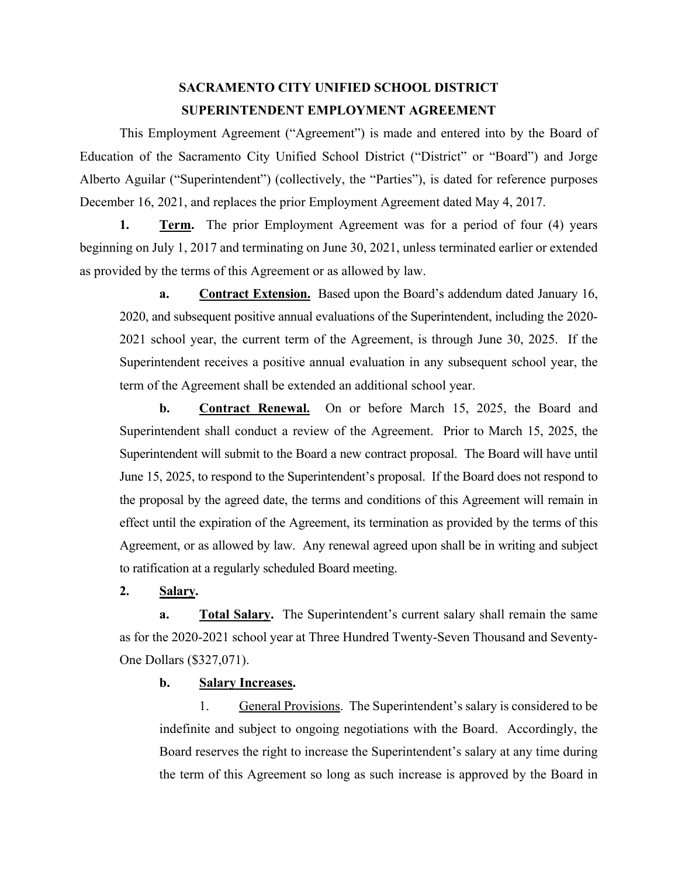# **SACRAMENTO CITY UNIFIED SCHOOL DISTRICT SUPERINTENDENT EMPLOYMENT AGREEMENT**

This Employment Agreement ("Agreement") is made and entered into by the Board of Education of the Sacramento City Unified School District ("District" or "Board") and Jorge Alberto Aguilar ("Superintendent") (collectively, the "Parties"), is dated for reference purposes December 16, 2021, and replaces the prior Employment Agreement dated May 4, 2017.

**1. Term.** The prior Employment Agreement was for a period of four (4) years beginning on July 1, 2017 and terminating on June 30, 2021, unless terminated earlier or extended as provided by the terms of this Agreement or as allowed by law.

**a. Contract Extension.** Based upon the Board's addendum dated January 16, 2020, and subsequent positive annual evaluations of the Superintendent, including the 2020- 2021 school year, the current term of the Agreement, is through June 30, 2025. If the Superintendent receives a positive annual evaluation in any subsequent school year, the term of the Agreement shall be extended an additional school year.

**b. Contract Renewal.** On or before March 15, 2025, the Board and Superintendent shall conduct a review of the Agreement. Prior to March 15, 2025, the Superintendent will submit to the Board a new contract proposal. The Board will have until June 15, 2025, to respond to the Superintendent's proposal. If the Board does not respond to the proposal by the agreed date, the terms and conditions of this Agreement will remain in effect until the expiration of the Agreement, its termination as provided by the terms of this Agreement, or as allowed by law. Any renewal agreed upon shall be in writing and subject to ratification at a regularly scheduled Board meeting.

**2. Salary.**

**a.** Total Salary. The Superintendent's current salary shall remain the same as for the 2020-2021 school year at Three Hundred Twenty-Seven Thousand and Seventy-One Dollars (\$327,071).

**b. Salary Increases.**

1. General Provisions. The Superintendent's salary is considered to be indefinite and subject to ongoing negotiations with the Board. Accordingly, the Board reserves the right to increase the Superintendent's salary at any time during the term of this Agreement so long as such increase is approved by the Board in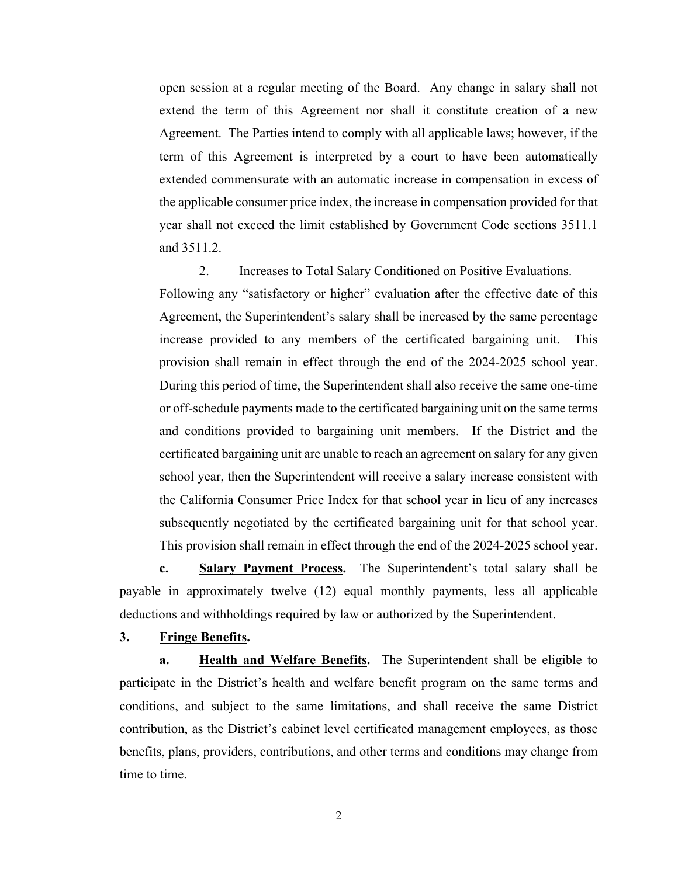open session at a regular meeting of the Board. Any change in salary shall not extend the term of this Agreement nor shall it constitute creation of a new Agreement. The Parties intend to comply with all applicable laws; however, if the term of this Agreement is interpreted by a court to have been automatically extended commensurate with an automatic increase in compensation in excess of the applicable consumer price index, the increase in compensation provided for that year shall not exceed the limit established by Government Code sections 3511.1 and 3511.2.

2. Increases to Total Salary Conditioned on Positive Evaluations. Following any "satisfactory or higher" evaluation after the effective date of this Agreement, the Superintendent's salary shall be increased by the same percentage increase provided to any members of the certificated bargaining unit. This provision shall remain in effect through the end of the 2024-2025 school year. During this period of time, the Superintendent shall also receive the same one-time or off-schedule payments made to the certificated bargaining unit on the same terms and conditions provided to bargaining unit members. If the District and the certificated bargaining unit are unable to reach an agreement on salary for any given school year, then the Superintendent will receive a salary increase consistent with the California Consumer Price Index for that school year in lieu of any increases subsequently negotiated by the certificated bargaining unit for that school year. This provision shall remain in effect through the end of the 2024-2025 school year.

**c. Salary Payment Process.** The Superintendent's total salary shall be payable in approximately twelve (12) equal monthly payments, less all applicable deductions and withholdings required by law or authorized by the Superintendent.

#### **3. Fringe Benefits.**

**a. Health and Welfare Benefits.** The Superintendent shall be eligible to participate in the District's health and welfare benefit program on the same terms and conditions, and subject to the same limitations, and shall receive the same District contribution, as the District's cabinet level certificated management employees, as those benefits, plans, providers, contributions, and other terms and conditions may change from time to time.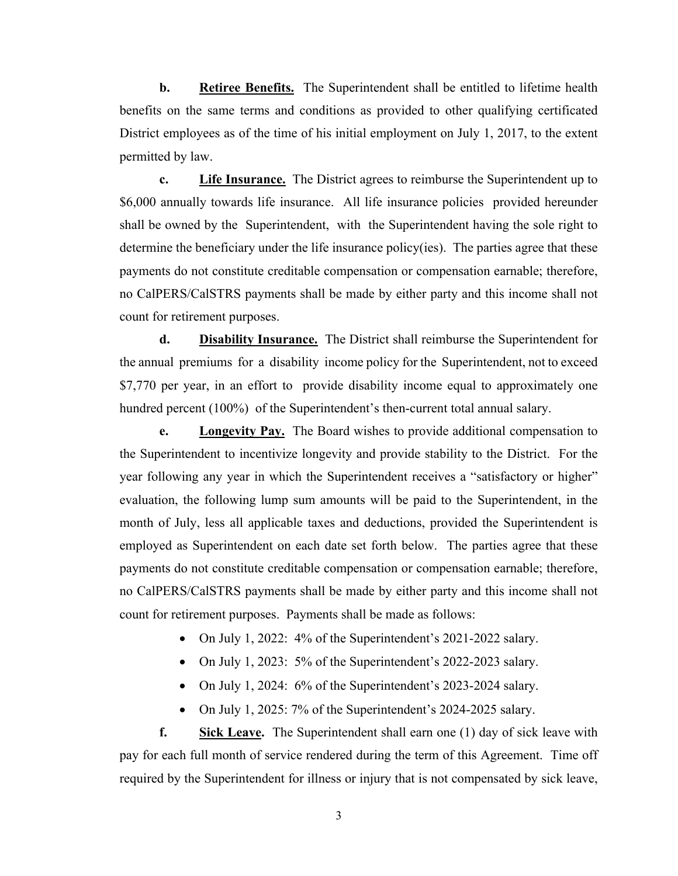**b. Retiree Benefits.** The Superintendent shall be entitled to lifetime health benefits on the same terms and conditions as provided to other qualifying certificated District employees as of the time of his initial employment on July 1, 2017, to the extent permitted by law.

**c. Life Insurance.** The District agrees to reimburse the Superintendent up to \$6,000 annually towards life insurance. All life insurance policies provided hereunder shall be owned by the Superintendent, with the Superintendent having the sole right to determine the beneficiary under the life insurance policy(ies). The parties agree that these payments do not constitute creditable compensation or compensation earnable; therefore, no CalPERS/CalSTRS payments shall be made by either party and this income shall not count for retirement purposes.

**d. Disability Insurance.** The District shall reimburse the Superintendent for the annual premiums for a disability income policy for the Superintendent, not to exceed \$7,770 per year, in an effort to provide disability income equal to approximately one hundred percent (100%) of the Superintendent's then-current total annual salary.

**e. Longevity Pay.** The Board wishes to provide additional compensation to the Superintendent to incentivize longevity and provide stability to the District. For the year following any year in which the Superintendent receives a "satisfactory or higher" evaluation, the following lump sum amounts will be paid to the Superintendent, in the month of July, less all applicable taxes and deductions, provided the Superintendent is employed as Superintendent on each date set forth below. The parties agree that these payments do not constitute creditable compensation or compensation earnable; therefore, no CalPERS/CalSTRS payments shall be made by either party and this income shall not count for retirement purposes. Payments shall be made as follows:

- On July 1, 2022: 4% of the Superintendent's 2021-2022 salary.
- On July 1, 2023: 5% of the Superintendent's 2022-2023 salary.
- On July 1, 2024: 6% of the Superintendent's 2023-2024 salary.
- On July 1, 2025: 7% of the Superintendent's 2024-2025 salary.

**f. Sick Leave.** The Superintendent shall earn one (1) day of sick leave with pay for each full month of service rendered during the term of this Agreement. Time off required by the Superintendent for illness or injury that is not compensated by sick leave,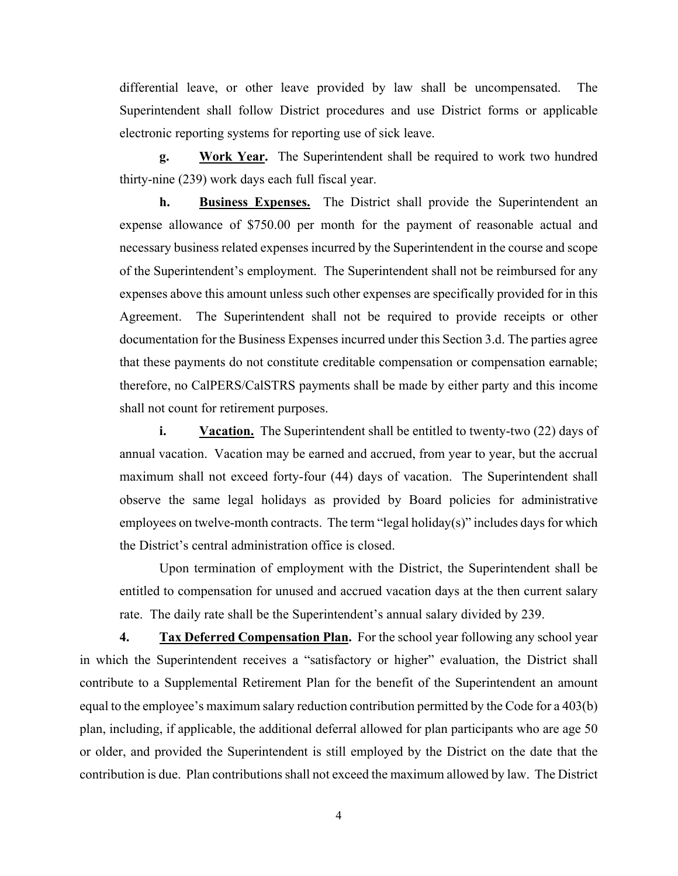differential leave, or other leave provided by law shall be uncompensated. The Superintendent shall follow District procedures and use District forms or applicable electronic reporting systems for reporting use of sick leave.

**g. Work Year.** The Superintendent shall be required to work two hundred thirty-nine (239) work days each full fiscal year.

**h. Business Expenses.** The District shall provide the Superintendent an expense allowance of \$750.00 per month for the payment of reasonable actual and necessary business related expenses incurred by the Superintendent in the course and scope of the Superintendent's employment. The Superintendent shall not be reimbursed for any expenses above this amount unless such other expenses are specifically provided for in this Agreement. The Superintendent shall not be required to provide receipts or other documentation for the Business Expenses incurred under this Section 3.d. The parties agree that these payments do not constitute creditable compensation or compensation earnable; therefore, no CalPERS/CalSTRS payments shall be made by either party and this income shall not count for retirement purposes.

**i. Vacation.** The Superintendent shall be entitled to twenty-two (22) days of annual vacation. Vacation may be earned and accrued, from year to year, but the accrual maximum shall not exceed forty-four (44) days of vacation. The Superintendent shall observe the same legal holidays as provided by Board policies for administrative employees on twelve-month contracts. The term "legal holiday(s)" includes days for which the District's central administration office is closed.

Upon termination of employment with the District, the Superintendent shall be entitled to compensation for unused and accrued vacation days at the then current salary rate. The daily rate shall be the Superintendent's annual salary divided by 239.

**4. Tax Deferred Compensation Plan.** For the school year following any school year in which the Superintendent receives a "satisfactory or higher" evaluation, the District shall contribute to a Supplemental Retirement Plan for the benefit of the Superintendent an amount equal to the employee's maximum salary reduction contribution permitted by the Code for a 403(b) plan, including, if applicable, the additional deferral allowed for plan participants who are age 50 or older, and provided the Superintendent is still employed by the District on the date that the contribution is due. Plan contributions shall not exceed the maximum allowed by law. The District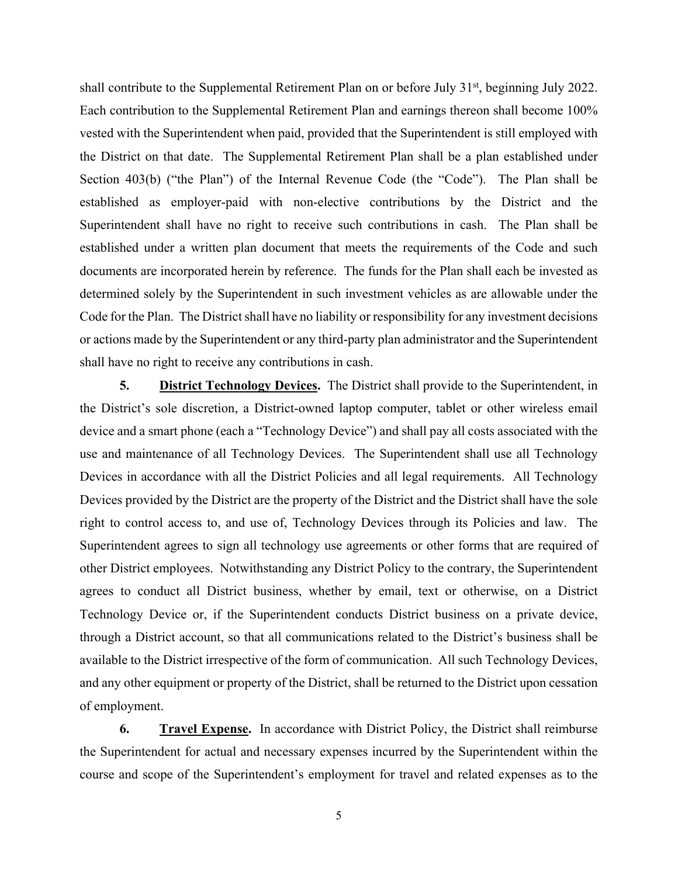shall contribute to the Supplemental Retirement Plan on or before July 31<sup>st</sup>, beginning July 2022. Each contribution to the Supplemental Retirement Plan and earnings thereon shall become 100% vested with the Superintendent when paid, provided that the Superintendent is still employed with the District on that date. The Supplemental Retirement Plan shall be a plan established under Section 403(b) ("the Plan") of the Internal Revenue Code (the "Code"). The Plan shall be established as employer-paid with non-elective contributions by the District and the Superintendent shall have no right to receive such contributions in cash. The Plan shall be established under a written plan document that meets the requirements of the Code and such documents are incorporated herein by reference. The funds for the Plan shall each be invested as determined solely by the Superintendent in such investment vehicles as are allowable under the Code for the Plan. The District shall have no liability or responsibility for any investment decisions or actions made by the Superintendent or any third-party plan administrator and the Superintendent shall have no right to receive any contributions in cash.

**5. District Technology Devices.** The District shall provide to the Superintendent, in the District's sole discretion, a District-owned laptop computer, tablet or other wireless email device and a smart phone (each a "Technology Device") and shall pay all costs associated with the use and maintenance of all Technology Devices. The Superintendent shall use all Technology Devices in accordance with all the District Policies and all legal requirements. All Technology Devices provided by the District are the property of the District and the District shall have the sole right to control access to, and use of, Technology Devices through its Policies and law. The Superintendent agrees to sign all technology use agreements or other forms that are required of other District employees. Notwithstanding any District Policy to the contrary, the Superintendent agrees to conduct all District business, whether by email, text or otherwise, on a District Technology Device or, if the Superintendent conducts District business on a private device, through a District account, so that all communications related to the District's business shall be available to the District irrespective of the form of communication. All such Technology Devices, and any other equipment or property of the District, shall be returned to the District upon cessation of employment.

**6. Travel Expense.** In accordance with District Policy, the District shall reimburse the Superintendent for actual and necessary expenses incurred by the Superintendent within the course and scope of the Superintendent's employment for travel and related expenses as to the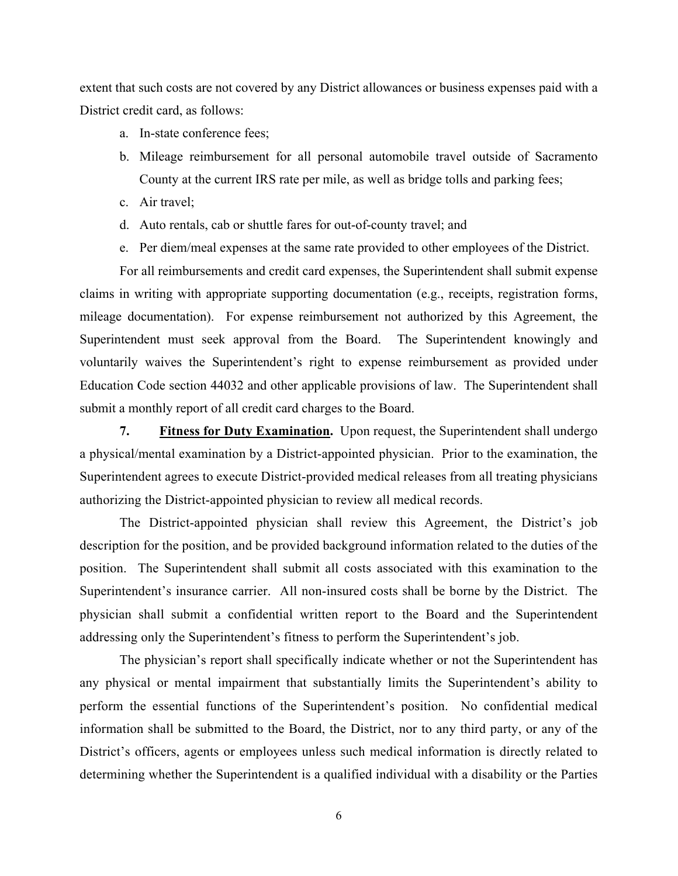extent that such costs are not covered by any District allowances or business expenses paid with a District credit card, as follows:

- a. In-state conference fees;
- b. Mileage reimbursement for all personal automobile travel outside of Sacramento County at the current IRS rate per mile, as well as bridge tolls and parking fees;
- c. Air travel;
- d. Auto rentals, cab or shuttle fares for out-of-county travel; and
- e. Per diem/meal expenses at the same rate provided to other employees of the District.

For all reimbursements and credit card expenses, the Superintendent shall submit expense claims in writing with appropriate supporting documentation (e.g., receipts, registration forms, mileage documentation). For expense reimbursement not authorized by this Agreement, the Superintendent must seek approval from the Board. The Superintendent knowingly and voluntarily waives the Superintendent's right to expense reimbursement as provided under Education Code section 44032 and other applicable provisions of law. The Superintendent shall submit a monthly report of all credit card charges to the Board.

**7.** Fitness for Duty Examination. Upon request, the Superintendent shall undergo a physical/mental examination by a District-appointed physician. Prior to the examination, the Superintendent agrees to execute District-provided medical releases from all treating physicians authorizing the District-appointed physician to review all medical records.

The District-appointed physician shall review this Agreement, the District's job description for the position, and be provided background information related to the duties of the position. The Superintendent shall submit all costs associated with this examination to the Superintendent's insurance carrier. All non-insured costs shall be borne by the District. The physician shall submit a confidential written report to the Board and the Superintendent addressing only the Superintendent's fitness to perform the Superintendent's job.

The physician's report shall specifically indicate whether or not the Superintendent has any physical or mental impairment that substantially limits the Superintendent's ability to perform the essential functions of the Superintendent's position. No confidential medical information shall be submitted to the Board, the District, nor to any third party, or any of the District's officers, agents or employees unless such medical information is directly related to determining whether the Superintendent is a qualified individual with a disability or the Parties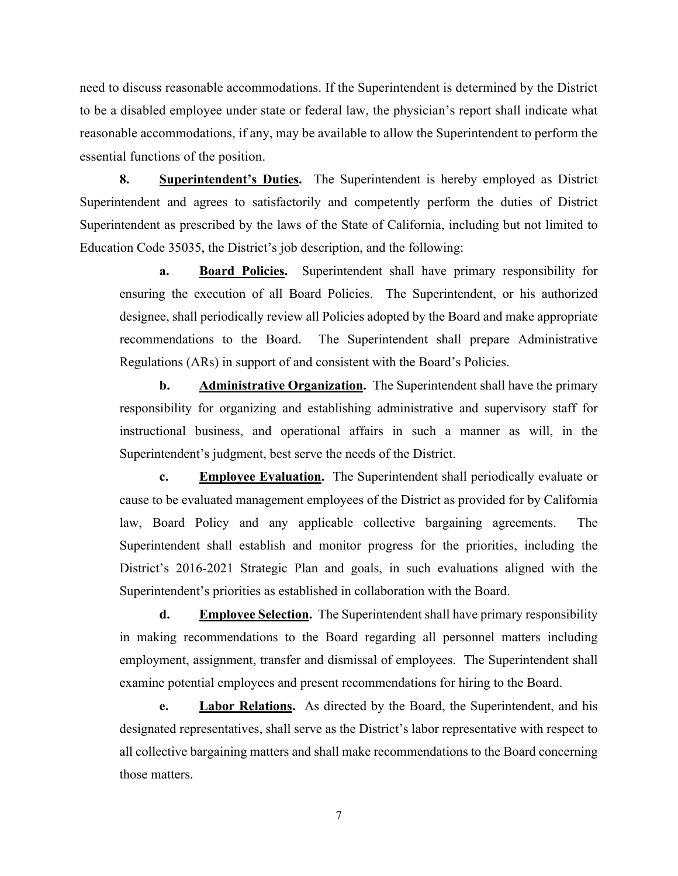need to discuss reasonable accommodations. If the Superintendent is determined by the District to be a disabled employee under state or federal law, the physician's report shall indicate what reasonable accommodations, if any, may be available to allow the Superintendent to perform the essential functions of the position.

**8. Superintendent's Duties.** The Superintendent is hereby employed as District Superintendent and agrees to satisfactorily and competently perform the duties of District Superintendent as prescribed by the laws of the State of California, including but not limited to Education Code 35035, the District's job description, and the following:

**a.** Board Policies. Superintendent shall have primary responsibility for ensuring the execution of all Board Policies. The Superintendent, or his authorized designee, shall periodically review all Policies adopted by the Board and make appropriate recommendations to the Board. The Superintendent shall prepare Administrative Regulations (ARs) in support of and consistent with the Board's Policies.

**b.** Administrative Organization. The Superintendent shall have the primary responsibility for organizing and establishing administrative and supervisory staff for instructional business, and operational affairs in such a manner as will, in the Superintendent's judgment, best serve the needs of the District.

**c. Employee Evaluation.** The Superintendent shall periodically evaluate or cause to be evaluated management employees of the District as provided for by California law, Board Policy and any applicable collective bargaining agreements. The Superintendent shall establish and monitor progress for the priorities, including the District's 2016-2021 Strategic Plan and goals, in such evaluations aligned with the Superintendent's priorities as established in collaboration with the Board.

**d. Employee Selection.** The Superintendent shall have primary responsibility in making recommendations to the Board regarding all personnel matters including employment, assignment, transfer and dismissal of employees. The Superintendent shall examine potential employees and present recommendations for hiring to the Board.

**e. Labor Relations.** As directed by the Board, the Superintendent, and his designated representatives, shall serve as the District's labor representative with respect to all collective bargaining matters and shall make recommendations to the Board concerning those matters.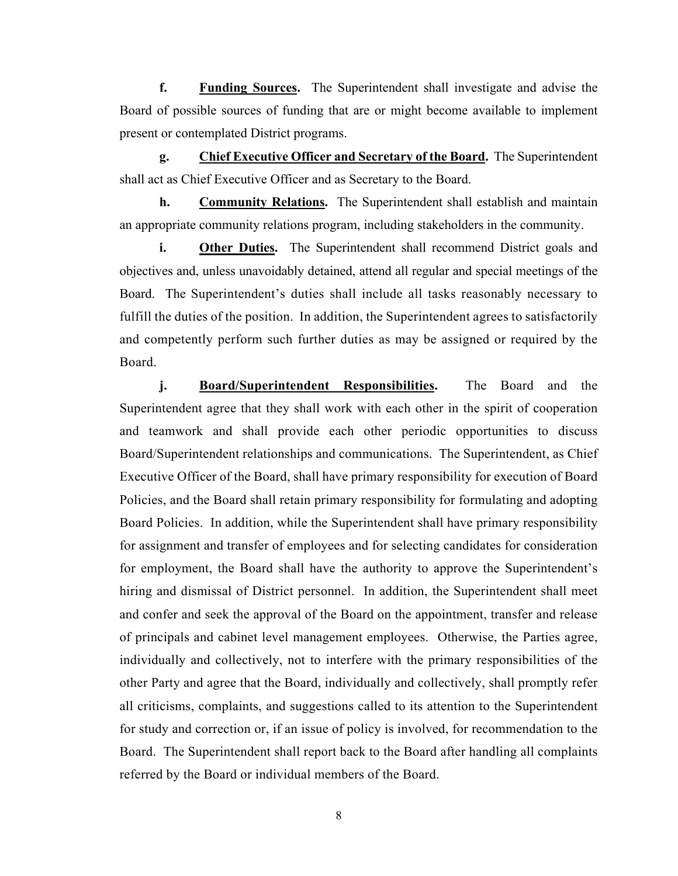**f. Funding Sources.** The Superintendent shall investigate and advise the Board of possible sources of funding that are or might become available to implement present or contemplated District programs.

**g. Chief Executive Officer and Secretary of the Board.** The Superintendent shall act as Chief Executive Officer and as Secretary to the Board.

**h. Community Relations.** The Superintendent shall establish and maintain an appropriate community relations program, including stakeholders in the community.

**i.** Other Duties. The Superintendent shall recommend District goals and objectives and, unless unavoidably detained, attend all regular and special meetings of the Board. The Superintendent's duties shall include all tasks reasonably necessary to fulfill the duties of the position. In addition, the Superintendent agrees to satisfactorily and competently perform such further duties as may be assigned or required by the Board.

**j. Board/Superintendent Responsibilities.** The Board and the Superintendent agree that they shall work with each other in the spirit of cooperation and teamwork and shall provide each other periodic opportunities to discuss Board/Superintendent relationships and communications. The Superintendent, as Chief Executive Officer of the Board, shall have primary responsibility for execution of Board Policies, and the Board shall retain primary responsibility for formulating and adopting Board Policies. In addition, while the Superintendent shall have primary responsibility for assignment and transfer of employees and for selecting candidates for consideration for employment, the Board shall have the authority to approve the Superintendent's hiring and dismissal of District personnel. In addition, the Superintendent shall meet and confer and seek the approval of the Board on the appointment, transfer and release of principals and cabinet level management employees. Otherwise, the Parties agree, individually and collectively, not to interfere with the primary responsibilities of the other Party and agree that the Board, individually and collectively, shall promptly refer all criticisms, complaints, and suggestions called to its attention to the Superintendent for study and correction or, if an issue of policy is involved, for recommendation to the Board. The Superintendent shall report back to the Board after handling all complaints referred by the Board or individual members of the Board.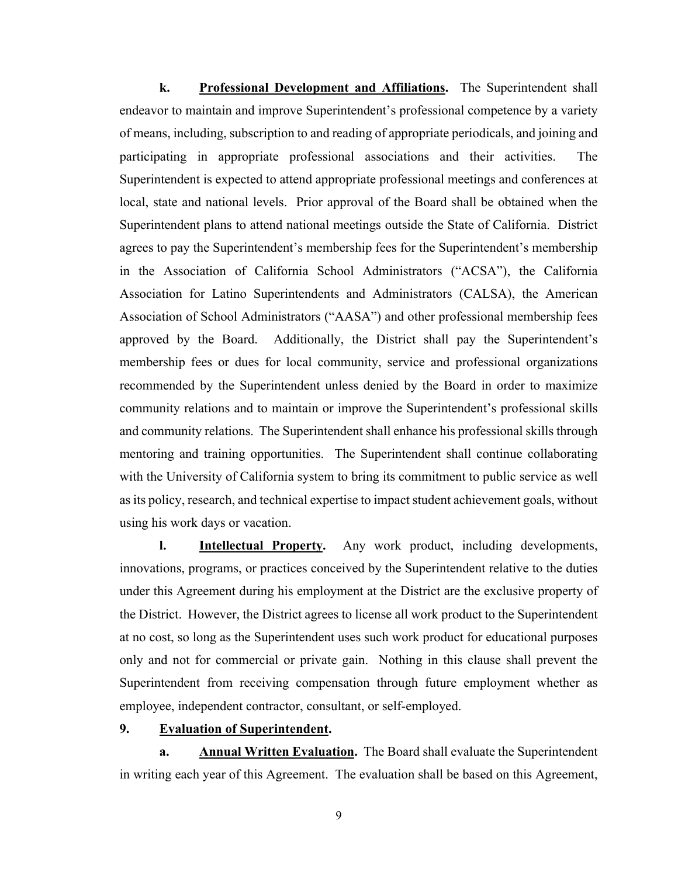**k. Professional Development and Affiliations.** The Superintendent shall endeavor to maintain and improve Superintendent's professional competence by a variety of means, including, subscription to and reading of appropriate periodicals, and joining and participating in appropriate professional associations and their activities. The Superintendent is expected to attend appropriate professional meetings and conferences at local, state and national levels. Prior approval of the Board shall be obtained when the Superintendent plans to attend national meetings outside the State of California. District agrees to pay the Superintendent's membership fees for the Superintendent's membership in the Association of California School Administrators ("ACSA"), the California Association for Latino Superintendents and Administrators (CALSA), the American Association of School Administrators ("AASA") and other professional membership fees approved by the Board. Additionally, the District shall pay the Superintendent's membership fees or dues for local community, service and professional organizations recommended by the Superintendent unless denied by the Board in order to maximize community relations and to maintain or improve the Superintendent's professional skills and community relations. The Superintendent shall enhance his professional skills through mentoring and training opportunities. The Superintendent shall continue collaborating with the University of California system to bring its commitment to public service as well as its policy, research, and technical expertise to impact student achievement goals, without using his work days or vacation.

**l. Intellectual Property.** Any work product, including developments, innovations, programs, or practices conceived by the Superintendent relative to the duties under this Agreement during his employment at the District are the exclusive property of the District. However, the District agrees to license all work product to the Superintendent at no cost, so long as the Superintendent uses such work product for educational purposes only and not for commercial or private gain. Nothing in this clause shall prevent the Superintendent from receiving compensation through future employment whether as employee, independent contractor, consultant, or self-employed.

#### **9. Evaluation of Superintendent.**

**a. Annual Written Evaluation.** The Board shall evaluate the Superintendent in writing each year of this Agreement. The evaluation shall be based on this Agreement,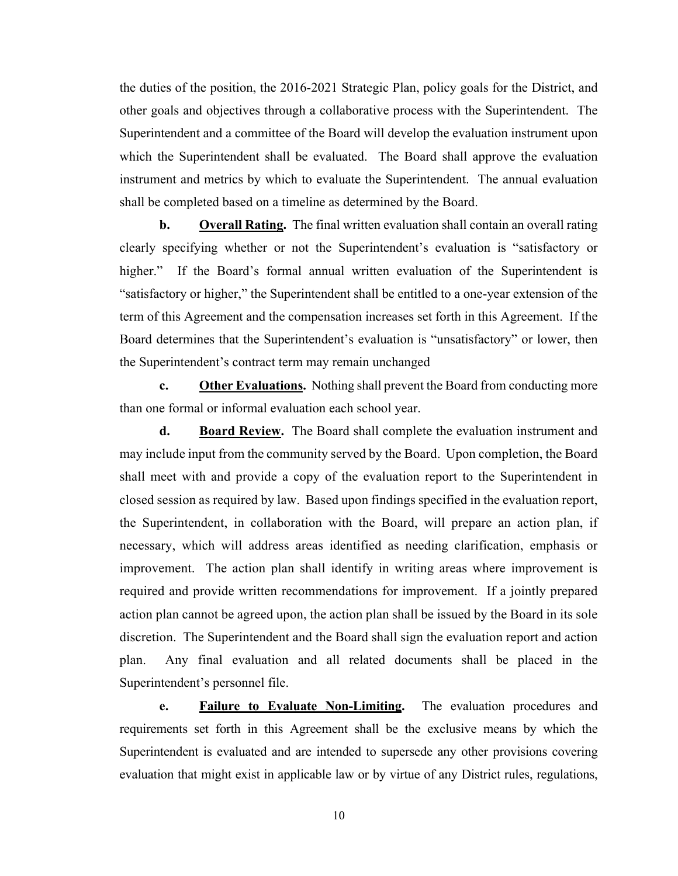the duties of the position, the 2016-2021 Strategic Plan, policy goals for the District, and other goals and objectives through a collaborative process with the Superintendent. The Superintendent and a committee of the Board will develop the evaluation instrument upon which the Superintendent shall be evaluated. The Board shall approve the evaluation instrument and metrics by which to evaluate the Superintendent. The annual evaluation shall be completed based on a timeline as determined by the Board.

**b.** Overall Rating. The final written evaluation shall contain an overall rating clearly specifying whether or not the Superintendent's evaluation is "satisfactory or higher." If the Board's formal annual written evaluation of the Superintendent is "satisfactory or higher," the Superintendent shall be entitled to a one-year extension of the term of this Agreement and the compensation increases set forth in this Agreement. If the Board determines that the Superintendent's evaluation is "unsatisfactory" or lower, then the Superintendent's contract term may remain unchanged

**c. Other Evaluations.** Nothing shall prevent the Board from conducting more than one formal or informal evaluation each school year.

**d. Board Review.** The Board shall complete the evaluation instrument and may include input from the community served by the Board. Upon completion, the Board shall meet with and provide a copy of the evaluation report to the Superintendent in closed session as required by law. Based upon findings specified in the evaluation report, the Superintendent, in collaboration with the Board, will prepare an action plan, if necessary, which will address areas identified as needing clarification, emphasis or improvement. The action plan shall identify in writing areas where improvement is required and provide written recommendations for improvement. If a jointly prepared action plan cannot be agreed upon, the action plan shall be issued by the Board in its sole discretion. The Superintendent and the Board shall sign the evaluation report and action plan. Any final evaluation and all related documents shall be placed in the Superintendent's personnel file.

**e. Failure to Evaluate Non-Limiting.** The evaluation procedures and requirements set forth in this Agreement shall be the exclusive means by which the Superintendent is evaluated and are intended to supersede any other provisions covering evaluation that might exist in applicable law or by virtue of any District rules, regulations,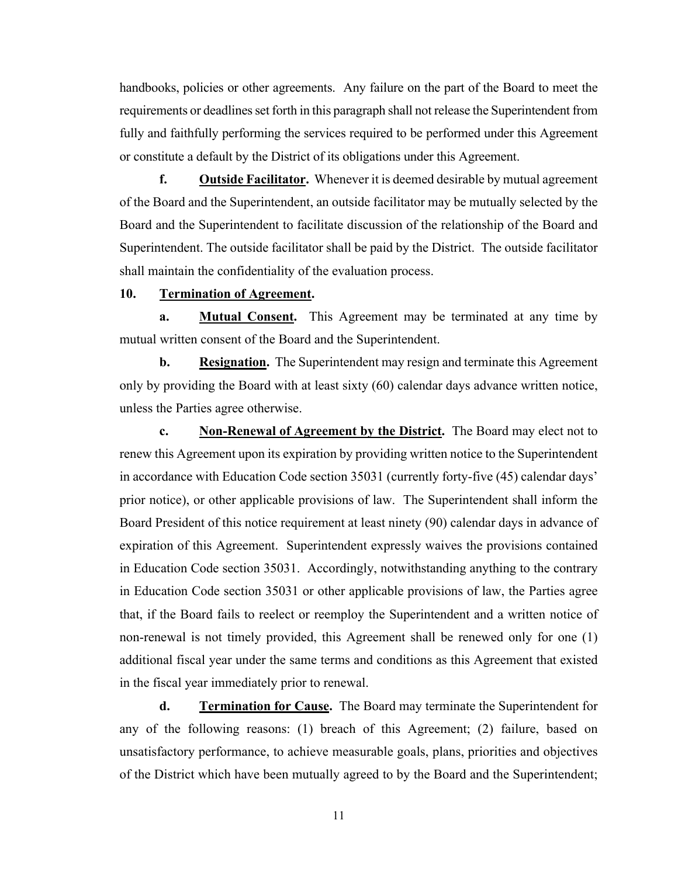handbooks, policies or other agreements. Any failure on the part of the Board to meet the requirements or deadlines set forth in this paragraph shall not release the Superintendent from fully and faithfully performing the services required to be performed under this Agreement or constitute a default by the District of its obligations under this Agreement.

**f. Outside Facilitator.** Whenever it is deemed desirable by mutual agreement of the Board and the Superintendent, an outside facilitator may be mutually selected by the Board and the Superintendent to facilitate discussion of the relationship of the Board and Superintendent. The outside facilitator shall be paid by the District. The outside facilitator shall maintain the confidentiality of the evaluation process.

## **10. Termination of Agreement.**

**a. Mutual Consent.** This Agreement may be terminated at any time by mutual written consent of the Board and the Superintendent.

**b.** Resignation. The Superintendent may resign and terminate this Agreement only by providing the Board with at least sixty (60) calendar days advance written notice, unless the Parties agree otherwise.

**c. Non-Renewal of Agreement by the District.** The Board may elect not to renew this Agreement upon its expiration by providing written notice to the Superintendent in accordance with Education Code section 35031 (currently forty-five (45) calendar days' prior notice), or other applicable provisions of law. The Superintendent shall inform the Board President of this notice requirement at least ninety (90) calendar days in advance of expiration of this Agreement. Superintendent expressly waives the provisions contained in Education Code section 35031. Accordingly, notwithstanding anything to the contrary in Education Code section 35031 or other applicable provisions of law, the Parties agree that, if the Board fails to reelect or reemploy the Superintendent and a written notice of non-renewal is not timely provided, this Agreement shall be renewed only for one (1) additional fiscal year under the same terms and conditions as this Agreement that existed in the fiscal year immediately prior to renewal.

**d. Termination for Cause.** The Board may terminate the Superintendent for any of the following reasons: (1) breach of this Agreement; (2) failure, based on unsatisfactory performance, to achieve measurable goals, plans, priorities and objectives of the District which have been mutually agreed to by the Board and the Superintendent;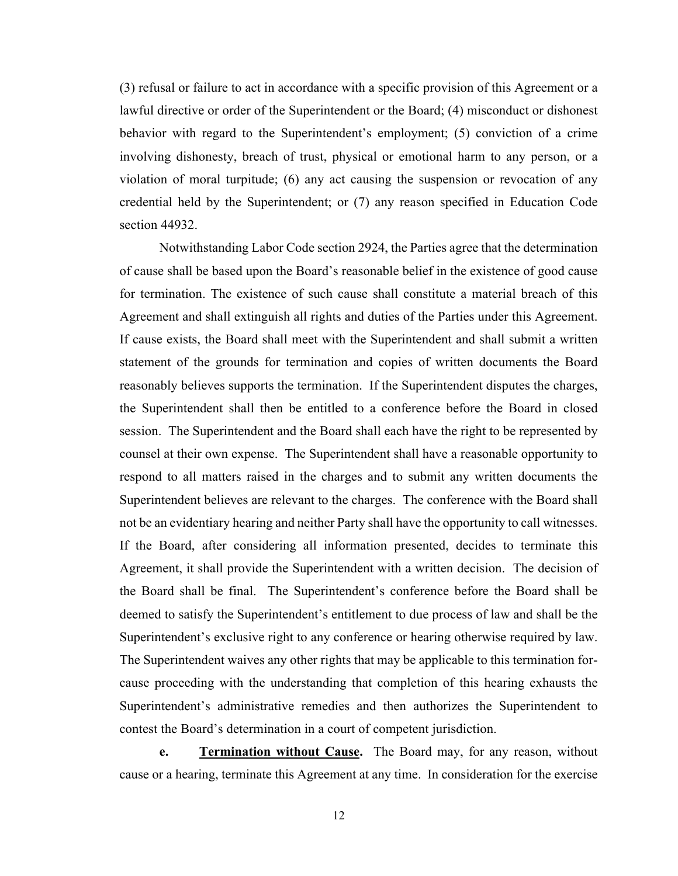(3) refusal or failure to act in accordance with a specific provision of this Agreement or a lawful directive or order of the Superintendent or the Board; (4) misconduct or dishonest behavior with regard to the Superintendent's employment; (5) conviction of a crime involving dishonesty, breach of trust, physical or emotional harm to any person, or a violation of moral turpitude; (6) any act causing the suspension or revocation of any credential held by the Superintendent; or (7) any reason specified in Education Code section 44932.

Notwithstanding Labor Code section 2924, the Parties agree that the determination of cause shall be based upon the Board's reasonable belief in the existence of good cause for termination. The existence of such cause shall constitute a material breach of this Agreement and shall extinguish all rights and duties of the Parties under this Agreement. If cause exists, the Board shall meet with the Superintendent and shall submit a written statement of the grounds for termination and copies of written documents the Board reasonably believes supports the termination. If the Superintendent disputes the charges, the Superintendent shall then be entitled to a conference before the Board in closed session. The Superintendent and the Board shall each have the right to be represented by counsel at their own expense. The Superintendent shall have a reasonable opportunity to respond to all matters raised in the charges and to submit any written documents the Superintendent believes are relevant to the charges. The conference with the Board shall not be an evidentiary hearing and neither Party shall have the opportunity to call witnesses. If the Board, after considering all information presented, decides to terminate this Agreement, it shall provide the Superintendent with a written decision. The decision of the Board shall be final. The Superintendent's conference before the Board shall be deemed to satisfy the Superintendent's entitlement to due process of law and shall be the Superintendent's exclusive right to any conference or hearing otherwise required by law. The Superintendent waives any other rights that may be applicable to this termination forcause proceeding with the understanding that completion of this hearing exhausts the Superintendent's administrative remedies and then authorizes the Superintendent to contest the Board's determination in a court of competent jurisdiction.

**e. Termination without Cause.** The Board may, for any reason, without cause or a hearing, terminate this Agreement at any time. In consideration for the exercise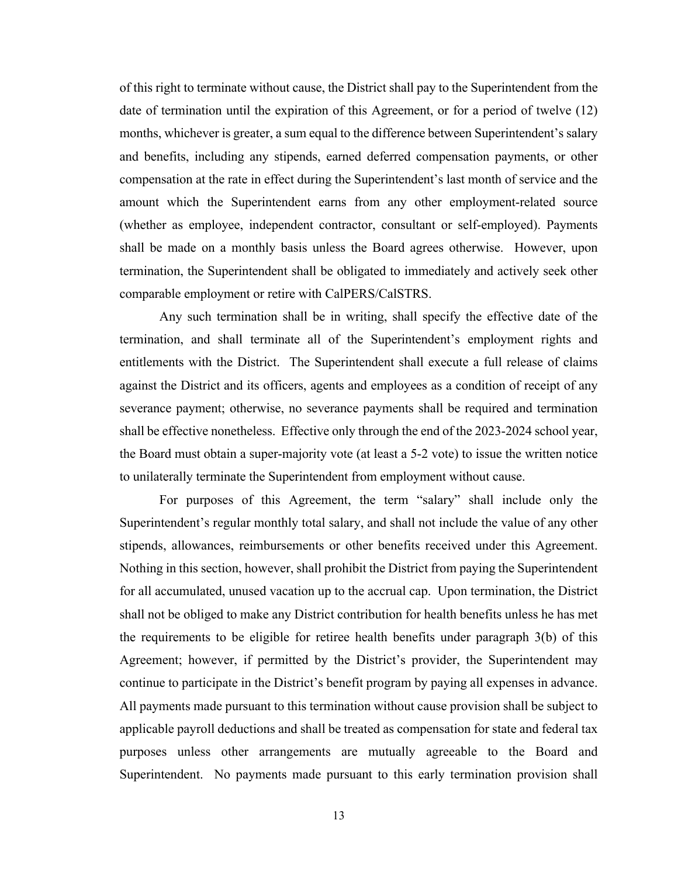of this right to terminate without cause, the District shall pay to the Superintendent from the date of termination until the expiration of this Agreement, or for a period of twelve (12) months, whichever is greater, a sum equal to the difference between Superintendent's salary and benefits, including any stipends, earned deferred compensation payments, or other compensation at the rate in effect during the Superintendent's last month of service and the amount which the Superintendent earns from any other employment-related source (whether as employee, independent contractor, consultant or self-employed). Payments shall be made on a monthly basis unless the Board agrees otherwise. However, upon termination, the Superintendent shall be obligated to immediately and actively seek other comparable employment or retire with CalPERS/CalSTRS.

Any such termination shall be in writing, shall specify the effective date of the termination, and shall terminate all of the Superintendent's employment rights and entitlements with the District. The Superintendent shall execute a full release of claims against the District and its officers, agents and employees as a condition of receipt of any severance payment; otherwise, no severance payments shall be required and termination shall be effective nonetheless. Effective only through the end of the 2023-2024 school year, the Board must obtain a super-majority vote (at least a 5-2 vote) to issue the written notice to unilaterally terminate the Superintendent from employment without cause.

For purposes of this Agreement, the term "salary" shall include only the Superintendent's regular monthly total salary, and shall not include the value of any other stipends, allowances, reimbursements or other benefits received under this Agreement. Nothing in this section, however, shall prohibit the District from paying the Superintendent for all accumulated, unused vacation up to the accrual cap. Upon termination, the District shall not be obliged to make any District contribution for health benefits unless he has met the requirements to be eligible for retiree health benefits under paragraph 3(b) of this Agreement; however, if permitted by the District's provider, the Superintendent may continue to participate in the District's benefit program by paying all expenses in advance. All payments made pursuant to this termination without cause provision shall be subject to applicable payroll deductions and shall be treated as compensation for state and federal tax purposes unless other arrangements are mutually agreeable to the Board and Superintendent. No payments made pursuant to this early termination provision shall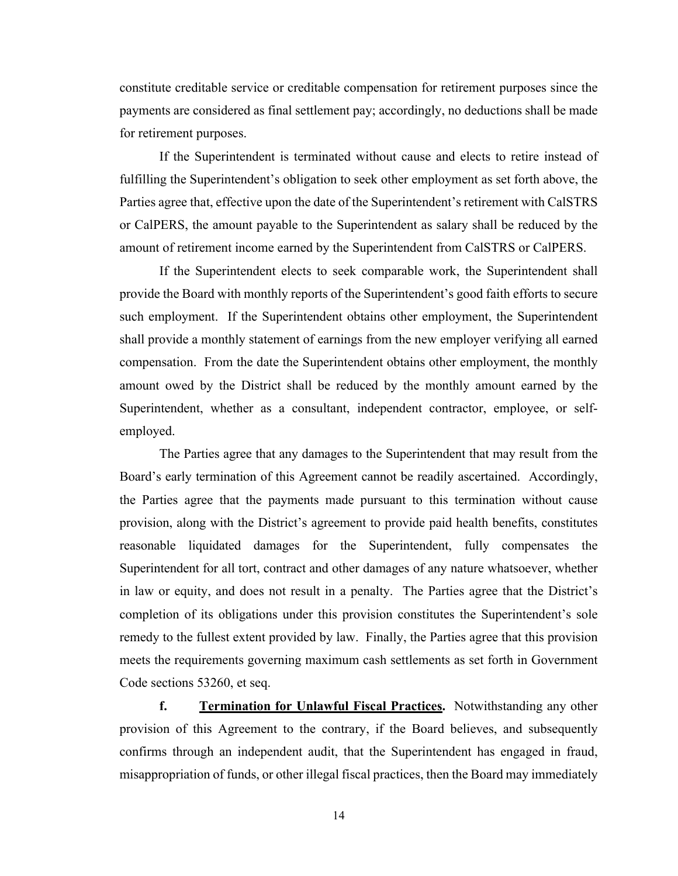constitute creditable service or creditable compensation for retirement purposes since the payments are considered as final settlement pay; accordingly, no deductions shall be made for retirement purposes.

If the Superintendent is terminated without cause and elects to retire instead of fulfilling the Superintendent's obligation to seek other employment as set forth above, the Parties agree that, effective upon the date of the Superintendent's retirement with CalSTRS or CalPERS, the amount payable to the Superintendent as salary shall be reduced by the amount of retirement income earned by the Superintendent from CalSTRS or CalPERS.

If the Superintendent elects to seek comparable work, the Superintendent shall provide the Board with monthly reports of the Superintendent's good faith efforts to secure such employment. If the Superintendent obtains other employment, the Superintendent shall provide a monthly statement of earnings from the new employer verifying all earned compensation. From the date the Superintendent obtains other employment, the monthly amount owed by the District shall be reduced by the monthly amount earned by the Superintendent, whether as a consultant, independent contractor, employee, or selfemployed.

The Parties agree that any damages to the Superintendent that may result from the Board's early termination of this Agreement cannot be readily ascertained. Accordingly, the Parties agree that the payments made pursuant to this termination without cause provision, along with the District's agreement to provide paid health benefits, constitutes reasonable liquidated damages for the Superintendent, fully compensates the Superintendent for all tort, contract and other damages of any nature whatsoever, whether in law or equity, and does not result in a penalty. The Parties agree that the District's completion of its obligations under this provision constitutes the Superintendent's sole remedy to the fullest extent provided by law. Finally, the Parties agree that this provision meets the requirements governing maximum cash settlements as set forth in Government Code sections 53260, et seq.

**f. Termination for Unlawful Fiscal Practices.** Notwithstanding any other provision of this Agreement to the contrary, if the Board believes, and subsequently confirms through an independent audit, that the Superintendent has engaged in fraud, misappropriation of funds, or other illegal fiscal practices, then the Board may immediately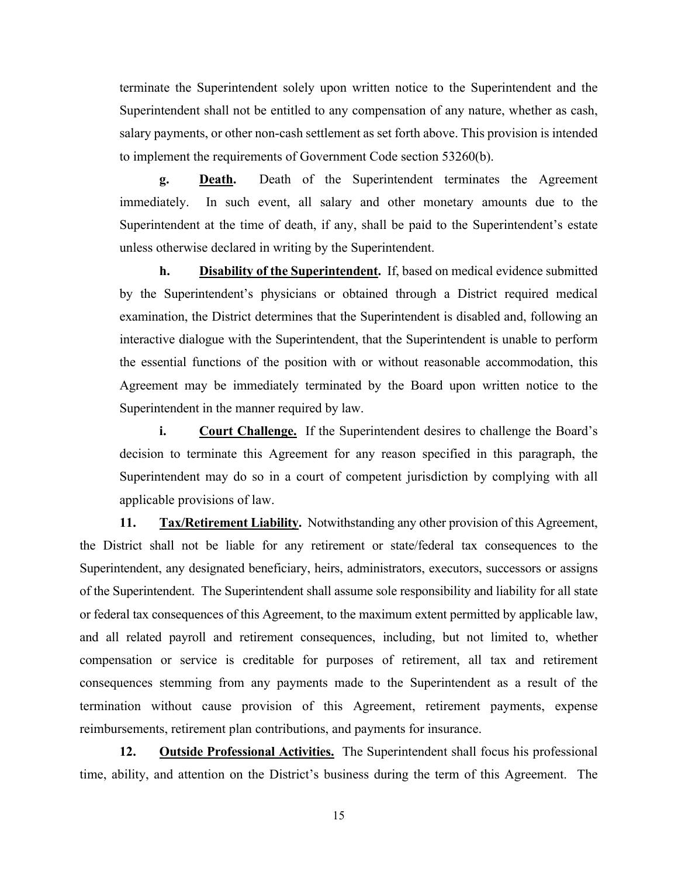terminate the Superintendent solely upon written notice to the Superintendent and the Superintendent shall not be entitled to any compensation of any nature, whether as cash, salary payments, or other non-cash settlement as set forth above. This provision is intended to implement the requirements of Government Code section 53260(b).

**g. Death.** Death of the Superintendent terminates the Agreement immediately. In such event, all salary and other monetary amounts due to the Superintendent at the time of death, if any, shall be paid to the Superintendent's estate unless otherwise declared in writing by the Superintendent.

**h. Disability of the Superintendent.** If, based on medical evidence submitted by the Superintendent's physicians or obtained through a District required medical examination, the District determines that the Superintendent is disabled and, following an interactive dialogue with the Superintendent, that the Superintendent is unable to perform the essential functions of the position with or without reasonable accommodation, this Agreement may be immediately terminated by the Board upon written notice to the Superintendent in the manner required by law.

**i.** Court Challenge. If the Superintendent desires to challenge the Board's decision to terminate this Agreement for any reason specified in this paragraph, the Superintendent may do so in a court of competent jurisdiction by complying with all applicable provisions of law.

**11. Tax/Retirement Liability.** Notwithstanding any other provision of this Agreement, the District shall not be liable for any retirement or state/federal tax consequences to the Superintendent, any designated beneficiary, heirs, administrators, executors, successors or assigns of the Superintendent. The Superintendent shall assume sole responsibility and liability for all state or federal tax consequences of this Agreement, to the maximum extent permitted by applicable law, and all related payroll and retirement consequences, including, but not limited to, whether compensation or service is creditable for purposes of retirement, all tax and retirement consequences stemming from any payments made to the Superintendent as a result of the termination without cause provision of this Agreement, retirement payments, expense reimbursements, retirement plan contributions, and payments for insurance.

**12. Outside Professional Activities.** The Superintendent shall focus his professional time, ability, and attention on the District's business during the term of this Agreement. The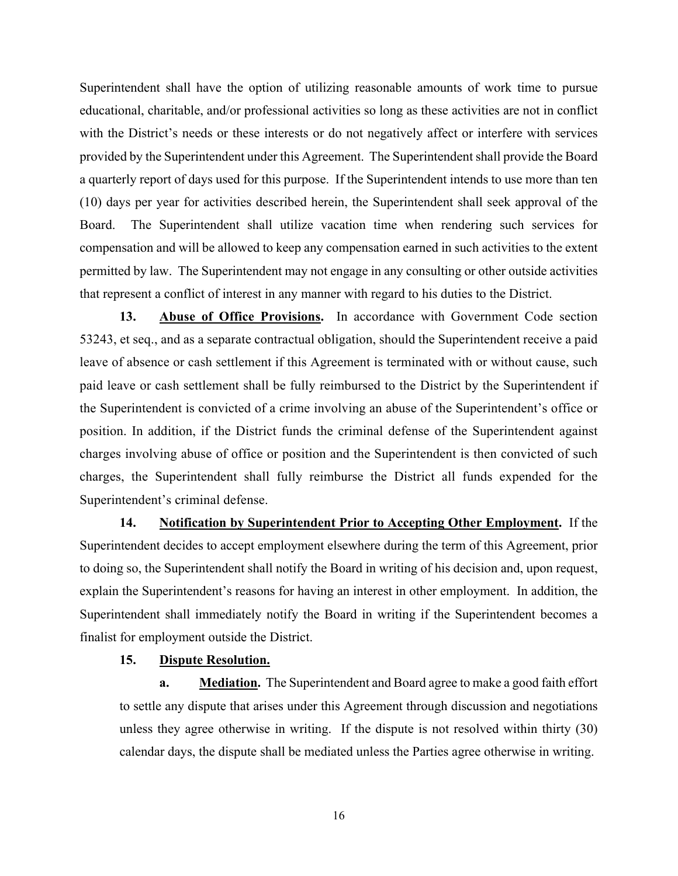Superintendent shall have the option of utilizing reasonable amounts of work time to pursue educational, charitable, and/or professional activities so long as these activities are not in conflict with the District's needs or these interests or do not negatively affect or interfere with services provided by the Superintendent under this Agreement. The Superintendent shall provide the Board a quarterly report of days used for this purpose. If the Superintendent intends to use more than ten (10) days per year for activities described herein, the Superintendent shall seek approval of the Board. The Superintendent shall utilize vacation time when rendering such services for compensation and will be allowed to keep any compensation earned in such activities to the extent permitted by law. The Superintendent may not engage in any consulting or other outside activities that represent a conflict of interest in any manner with regard to his duties to the District.

**13. Abuse of Office Provisions.** In accordance with Government Code section 53243, et seq., and as a separate contractual obligation, should the Superintendent receive a paid leave of absence or cash settlement if this Agreement is terminated with or without cause, such paid leave or cash settlement shall be fully reimbursed to the District by the Superintendent if the Superintendent is convicted of a crime involving an abuse of the Superintendent's office or position. In addition, if the District funds the criminal defense of the Superintendent against charges involving abuse of office or position and the Superintendent is then convicted of such charges, the Superintendent shall fully reimburse the District all funds expended for the Superintendent's criminal defense.

**14. Notification by Superintendent Prior to Accepting Other Employment.** If the Superintendent decides to accept employment elsewhere during the term of this Agreement, prior to doing so, the Superintendent shall notify the Board in writing of his decision and, upon request, explain the Superintendent's reasons for having an interest in other employment. In addition, the Superintendent shall immediately notify the Board in writing if the Superintendent becomes a finalist for employment outside the District.

## **15. Dispute Resolution.**

**a. Mediation.** The Superintendent and Board agree to make a good faith effort to settle any dispute that arises under this Agreement through discussion and negotiations unless they agree otherwise in writing. If the dispute is not resolved within thirty (30) calendar days, the dispute shall be mediated unless the Parties agree otherwise in writing.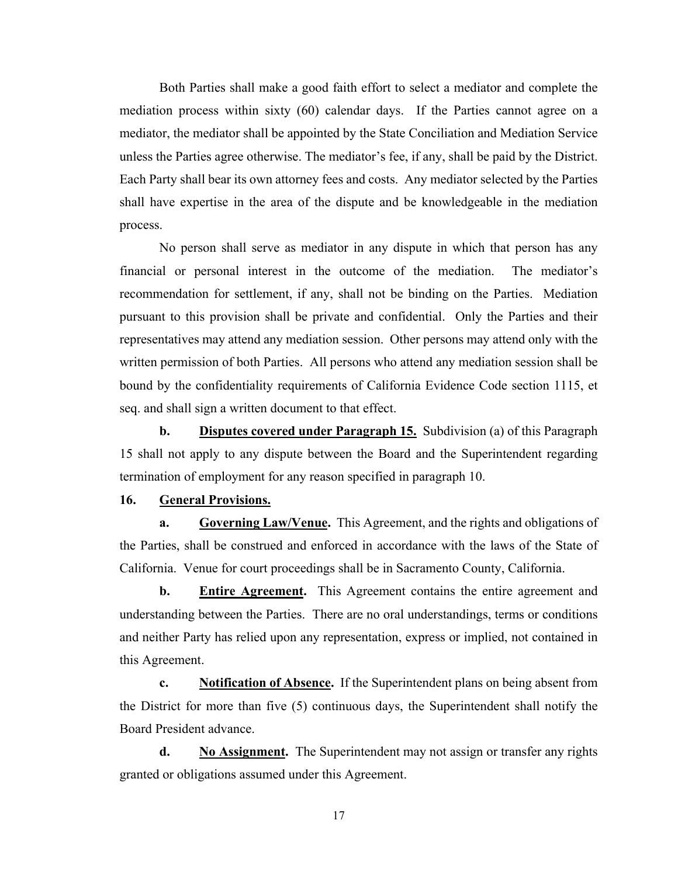Both Parties shall make a good faith effort to select a mediator and complete the mediation process within sixty (60) calendar days. If the Parties cannot agree on a mediator, the mediator shall be appointed by the State Conciliation and Mediation Service unless the Parties agree otherwise. The mediator's fee, if any, shall be paid by the District. Each Party shall bear its own attorney fees and costs. Any mediator selected by the Parties shall have expertise in the area of the dispute and be knowledgeable in the mediation process.

No person shall serve as mediator in any dispute in which that person has any financial or personal interest in the outcome of the mediation. The mediator's recommendation for settlement, if any, shall not be binding on the Parties. Mediation pursuant to this provision shall be private and confidential. Only the Parties and their representatives may attend any mediation session. Other persons may attend only with the written permission of both Parties. All persons who attend any mediation session shall be bound by the confidentiality requirements of California Evidence Code section 1115, et seq. and shall sign a written document to that effect.

**b. Disputes covered under Paragraph 15.** Subdivision (a) of this Paragraph 15 shall not apply to any dispute between the Board and the Superintendent regarding termination of employment for any reason specified in paragraph 10.

#### **16. General Provisions.**

**a. Governing Law/Venue.** This Agreement, and the rights and obligations of the Parties, shall be construed and enforced in accordance with the laws of the State of California. Venue for court proceedings shall be in Sacramento County, California.

**b.** Entire Agreement. This Agreement contains the entire agreement and understanding between the Parties. There are no oral understandings, terms or conditions and neither Party has relied upon any representation, express or implied, not contained in this Agreement.

**c. Notification of Absence.** If the Superintendent plans on being absent from the District for more than five (5) continuous days, the Superintendent shall notify the Board President advance.

**d. No Assignment.** The Superintendent may not assign or transfer any rights granted or obligations assumed under this Agreement.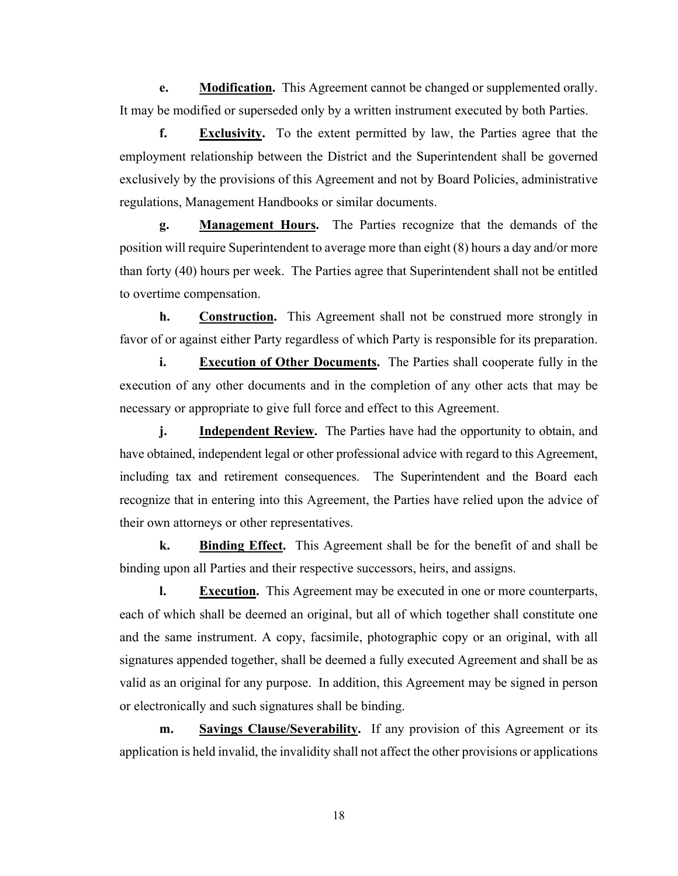**e.** Modification. This Agreement cannot be changed or supplemented orally. It may be modified or superseded only by a written instrument executed by both Parties.

**f. Exclusivity.** To the extent permitted by law, the Parties agree that the employment relationship between the District and the Superintendent shall be governed exclusively by the provisions of this Agreement and not by Board Policies, administrative regulations, Management Handbooks or similar documents.

**g. Management Hours.** The Parties recognize that the demands of the position will require Superintendent to average more than eight (8) hours a day and/or more than forty (40) hours per week. The Parties agree that Superintendent shall not be entitled to overtime compensation.

**h.** Construction. This Agreement shall not be construed more strongly in favor of or against either Party regardless of which Party is responsible for its preparation.

**i. Execution of Other Documents.** The Parties shall cooperate fully in the execution of any other documents and in the completion of any other acts that may be necessary or appropriate to give full force and effect to this Agreement.

**j. Independent Review.** The Parties have had the opportunity to obtain, and have obtained, independent legal or other professional advice with regard to this Agreement, including tax and retirement consequences. The Superintendent and the Board each recognize that in entering into this Agreement, the Parties have relied upon the advice of their own attorneys or other representatives.

**k. Binding Effect.** This Agreement shall be for the benefit of and shall be binding upon all Parties and their respective successors, heirs, and assigns.

**l. Execution.** This Agreement may be executed in one or more counterparts, each of which shall be deemed an original, but all of which together shall constitute one and the same instrument. A copy, facsimile, photographic copy or an original, with all signatures appended together, shall be deemed a fully executed Agreement and shall be as valid as an original for any purpose. In addition, this Agreement may be signed in person or electronically and such signatures shall be binding.

**m. Savings Clause/Severability.** If any provision of this Agreement or its application is held invalid, the invalidity shall not affect the other provisions or applications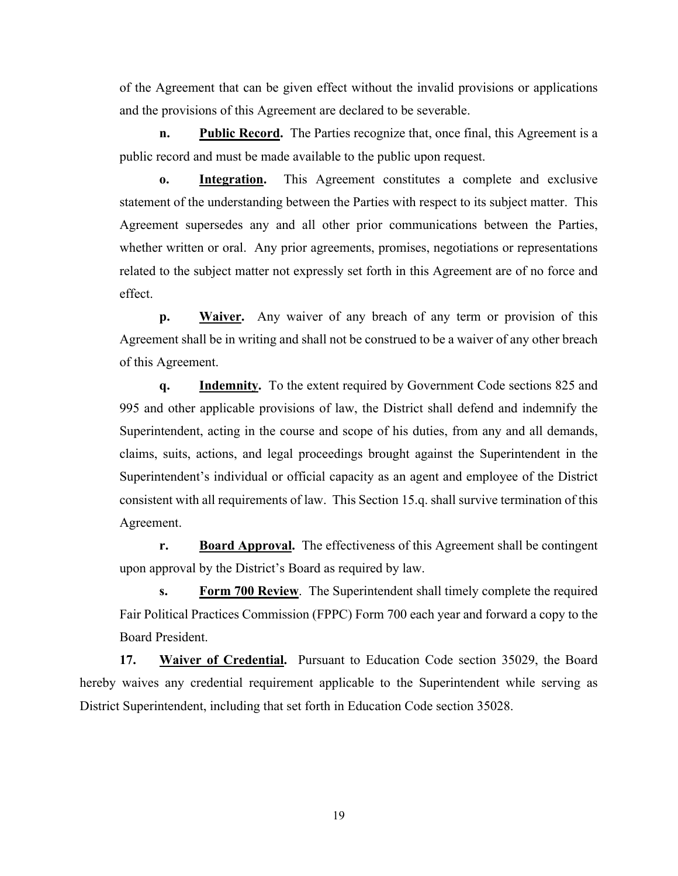of the Agreement that can be given effect without the invalid provisions or applications and the provisions of this Agreement are declared to be severable.

**n. Public Record.** The Parties recognize that, once final, this Agreement is a public record and must be made available to the public upon request.

**o. Integration.** This Agreement constitutes a complete and exclusive statement of the understanding between the Parties with respect to its subject matter. This Agreement supersedes any and all other prior communications between the Parties, whether written or oral. Any prior agreements, promises, negotiations or representations related to the subject matter not expressly set forth in this Agreement are of no force and effect.

**p. Waiver.** Any waiver of any breach of any term or provision of this Agreement shall be in writing and shall not be construed to be a waiver of any other breach of this Agreement.

**q. Indemnity.** To the extent required by Government Code sections 825 and 995 and other applicable provisions of law, the District shall defend and indemnify the Superintendent, acting in the course and scope of his duties, from any and all demands, claims, suits, actions, and legal proceedings brought against the Superintendent in the Superintendent's individual or official capacity as an agent and employee of the District consistent with all requirements of law. This Section 15.q. shall survive termination of this Agreement.

**r.** Board Approval. The effectiveness of this Agreement shall be contingent upon approval by the District's Board as required by law.

**s. Form 700 Review**. The Superintendent shall timely complete the required Fair Political Practices Commission (FPPC) Form 700 each year and forward a copy to the Board President.

**17. Waiver of Credential.** Pursuant to Education Code section 35029, the Board hereby waives any credential requirement applicable to the Superintendent while serving as District Superintendent, including that set forth in Education Code section 35028.